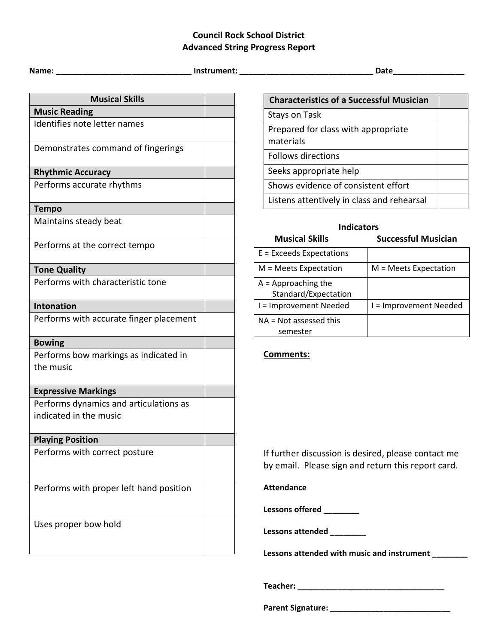## **Council Rock School District Advanced String Progress Report**

**Name: \_\_\_\_\_\_\_\_\_\_\_\_\_\_\_\_\_\_\_\_\_\_\_\_\_\_ \_\_\_\_ Instrument: \_\_\_\_\_\_\_\_\_\_\_\_\_\_\_\_\_\_\_\_\_\_\_\_\_\_\_\_\_\_ Date\_\_\_\_\_\_\_\_\_\_\_\_\_\_\_\_**

| <b>Musical Skills</b>                   |  |  |  |
|-----------------------------------------|--|--|--|
| <b>Music Reading</b>                    |  |  |  |
| Identifies note letter names            |  |  |  |
| Demonstrates command of fingerings      |  |  |  |
| <b>Rhythmic Accuracy</b>                |  |  |  |
| Performs accurate rhythms               |  |  |  |
| <b>Tempo</b>                            |  |  |  |
| Maintains steady beat                   |  |  |  |
| Performs at the correct tempo           |  |  |  |
| <b>Tone Quality</b>                     |  |  |  |
| Performs with characteristic tone       |  |  |  |
| <b>Intonation</b>                       |  |  |  |
| Performs with accurate finger placement |  |  |  |
| <b>Bowing</b>                           |  |  |  |
| Performs bow markings as indicated in   |  |  |  |
| the music                               |  |  |  |
| <b>Expressive Markings</b>              |  |  |  |
| Performs dynamics and articulations as  |  |  |  |
| indicated in the music                  |  |  |  |
| <b>Playing Position</b>                 |  |  |  |
| Performs with correct posture           |  |  |  |
| Performs with proper left hand position |  |  |  |
| Uses proper bow hold                    |  |  |  |

| <b>Characteristics of a Successful Musician</b>  |  |
|--------------------------------------------------|--|
| Stays on Task                                    |  |
| Prepared for class with appropriate<br>materials |  |
| <b>Follows directions</b>                        |  |
| Seeks appropriate help                           |  |
| Shows evidence of consistent effort              |  |
| Listens attentively in class and rehearsal       |  |

| <b>Indicators</b>                             |                            |  |
|-----------------------------------------------|----------------------------|--|
| <b>Musical Skills</b>                         | <b>Successful Musician</b> |  |
| $E =$ Exceeds Expectations                    |                            |  |
| $M = Meets$ Expectation                       | $M = Meets$ Expectation    |  |
| $A =$ Approaching the<br>Standard/Expectation |                            |  |
| I = Improvement Needed                        | I = Improvement Needed     |  |
| $NA = Not$ assessed this<br>semester          |                            |  |

## **Comments:**

If further discussion is desired, please contact me by email. Please sign and return this report card.

## **Attendance**

**Lessons offered \_\_\_\_\_\_\_\_** 

**Lessons attended \_\_\_\_\_\_\_\_**

Lessons attended with music and instrument \_\_\_\_\_\_\_

**Teacher: \_\_\_\_\_\_\_\_\_\_\_\_\_\_\_\_\_\_\_\_\_\_\_\_\_\_\_\_\_\_\_\_\_**

**Parent Signature: \_\_\_\_\_\_\_\_\_\_\_\_\_\_\_\_\_\_\_\_\_\_\_\_\_\_\_**